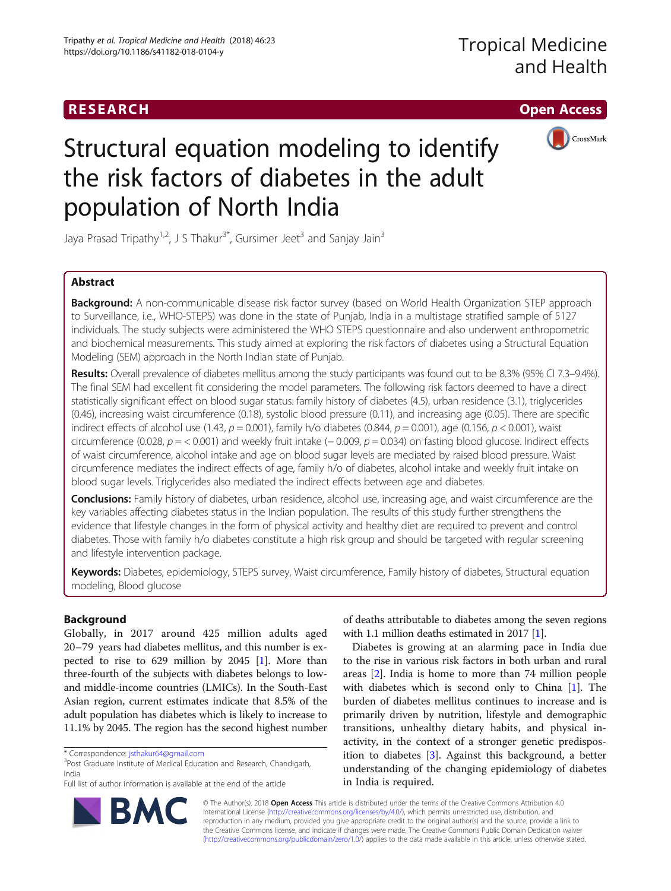## RESEARCH **RESEARCH CHOOSE ACCESS**



# Structural equation modeling to identify the risk factors of diabetes in the adult population of North India

Jaya Prasad Tripathy<sup>1,2</sup>, J S Thakur<sup>3\*</sup>, Gursimer Jeet<sup>3</sup> and Sanjay Jain<sup>3</sup>

## Abstract

**Background:** A non-communicable disease risk factor survey (based on World Health Organization STEP approach to Surveillance, i.e., WHO-STEPS) was done in the state of Punjab, India in a multistage stratified sample of 5127 individuals. The study subjects were administered the WHO STEPS questionnaire and also underwent anthropometric and biochemical measurements. This study aimed at exploring the risk factors of diabetes using a Structural Equation Modeling (SEM) approach in the North Indian state of Punjab.

Results: Overall prevalence of diabetes mellitus among the study participants was found out to be 8.3% (95% CI 7.3–9.4%). The final SEM had excellent fit considering the model parameters. The following risk factors deemed to have a direct statistically significant effect on blood sugar status: family history of diabetes (4.5), urban residence (3.1), triglycerides (0.46), increasing waist circumference (0.18), systolic blood pressure (0.11), and increasing age (0.05). There are specific indirect effects of alcohol use  $(1.43, p = 0.001)$ , family h/o diabetes  $(0.844, p = 0.001)$ , age  $(0.156, p < 0.001)$ , waist circumference (0.028,  $p = 0.001$ ) and weekly fruit intake (-0.009,  $p = 0.034$ ) on fasting blood glucose. Indirect effects of waist circumference, alcohol intake and age on blood sugar levels are mediated by raised blood pressure. Waist circumference mediates the indirect effects of age, family h/o of diabetes, alcohol intake and weekly fruit intake on blood sugar levels. Triglycerides also mediated the indirect effects between age and diabetes.

Conclusions: Family history of diabetes, urban residence, alcohol use, increasing age, and waist circumference are the key variables affecting diabetes status in the Indian population. The results of this study further strengthens the evidence that lifestyle changes in the form of physical activity and healthy diet are required to prevent and control diabetes. Those with family h/o diabetes constitute a high risk group and should be targeted with regular screening and lifestyle intervention package.

Keywords: Diabetes, epidemiology, STEPS survey, Waist circumference, Family history of diabetes, Structural equation modeling, Blood glucose

## Background

Globally, in 2017 around 425 million adults aged 20–79 years had diabetes mellitus, and this number is expected to rise to 629 million by 2045  $[1]$ . More than three-fourth of the subjects with diabetes belongs to lowand middle-income countries (LMICs). In the South-East Asian region, current estimates indicate that 8.5% of the adult population has diabetes which is likely to increase to 11.1% by 2045. The region has the second highest number

of deaths attributable to diabetes among the seven regions with 1.1 million deaths estimated in 2017 [\[1\]](#page-8-0).

Diabetes is growing at an alarming pace in India due to the rise in various risk factors in both urban and rural areas [\[2](#page-8-0)]. India is home to more than 74 million people with diabetes which is second only to China [\[1](#page-8-0)]. The burden of diabetes mellitus continues to increase and is primarily driven by nutrition, lifestyle and demographic transitions, unhealthy dietary habits, and physical inactivity, in the context of a stronger genetic predisposition to diabetes [\[3](#page-8-0)]. Against this background, a better understanding of the changing epidemiology of diabetes in India is required.



© The Author(s). 2018 Open Access This article is distributed under the terms of the Creative Commons Attribution 4.0 International License [\(http://creativecommons.org/licenses/by/4.0/](http://creativecommons.org/licenses/by/4.0/)), which permits unrestricted use, distribution, and reproduction in any medium, provided you give appropriate credit to the original author(s) and the source, provide a link to the Creative Commons license, and indicate if changes were made. The Creative Commons Public Domain Dedication waiver [\(http://creativecommons.org/publicdomain/zero/1.0/](http://creativecommons.org/publicdomain/zero/1.0/)) applies to the data made available in this article, unless otherwise stated.

<sup>\*</sup> Correspondence: [jsthakur64@gmail.com](mailto:jsthakur64@gmail.com) <sup>3</sup>

<sup>&</sup>lt;sup>3</sup>Post Graduate Institute of Medical Education and Research, Chandigarh, India

Full list of author information is available at the end of the article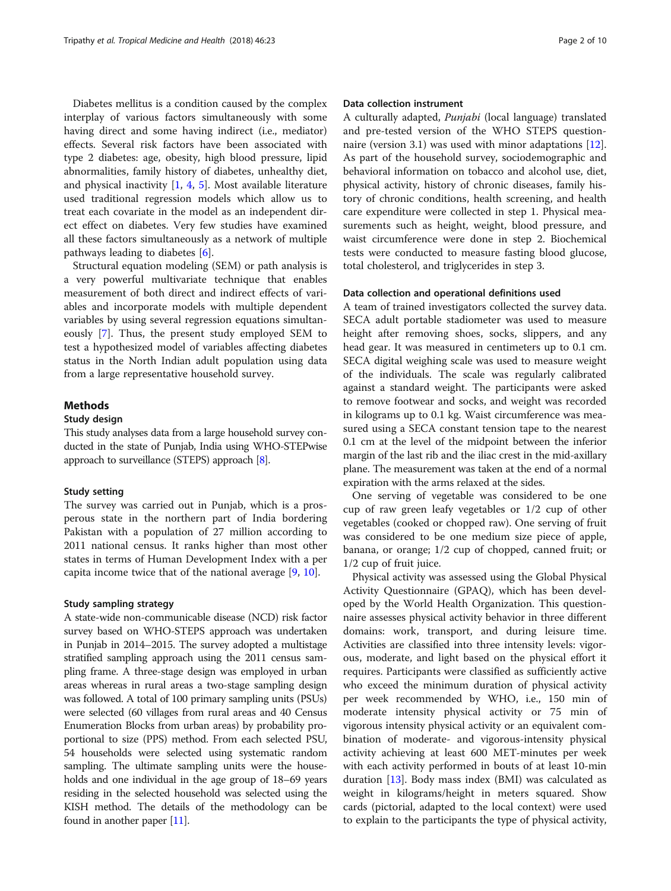Diabetes mellitus is a condition caused by the complex interplay of various factors simultaneously with some having direct and some having indirect (i.e., mediator) effects. Several risk factors have been associated with type 2 diabetes: age, obesity, high blood pressure, lipid abnormalities, family history of diabetes, unhealthy diet, and physical inactivity [\[1](#page-8-0), [4,](#page-8-0) [5](#page-8-0)]. Most available literature used traditional regression models which allow us to treat each covariate in the model as an independent direct effect on diabetes. Very few studies have examined all these factors simultaneously as a network of multiple pathways leading to diabetes [[6\]](#page-8-0).

Structural equation modeling (SEM) or path analysis is a very powerful multivariate technique that enables measurement of both direct and indirect effects of variables and incorporate models with multiple dependent variables by using several regression equations simultaneously [\[7](#page-8-0)]. Thus, the present study employed SEM to test a hypothesized model of variables affecting diabetes status in the North Indian adult population using data from a large representative household survey.

## Methods

## Study design

This study analyses data from a large household survey conducted in the state of Punjab, India using WHO-STEPwise approach to surveillance (STEPS) approach [\[8\]](#page-8-0).

## Study setting

The survey was carried out in Punjab, which is a prosperous state in the northern part of India bordering Pakistan with a population of 27 million according to 2011 national census. It ranks higher than most other states in terms of Human Development Index with a per capita income twice that of the national average [\[9](#page-8-0), [10](#page-8-0)].

## Study sampling strategy

A state-wide non-communicable disease (NCD) risk factor survey based on WHO-STEPS approach was undertaken in Punjab in 2014–2015. The survey adopted a multistage stratified sampling approach using the 2011 census sampling frame. A three-stage design was employed in urban areas whereas in rural areas a two-stage sampling design was followed. A total of 100 primary sampling units (PSUs) were selected (60 villages from rural areas and 40 Census Enumeration Blocks from urban areas) by probability proportional to size (PPS) method. From each selected PSU, 54 households were selected using systematic random sampling. The ultimate sampling units were the households and one individual in the age group of 18–69 years residing in the selected household was selected using the KISH method. The details of the methodology can be found in another paper [[11](#page-8-0)].

## Data collection instrument

A culturally adapted, Punjabi (local language) translated and pre-tested version of the WHO STEPS question-naire (version 3.1) was used with minor adaptations [\[12](#page-8-0)]. As part of the household survey, sociodemographic and behavioral information on tobacco and alcohol use, diet, physical activity, history of chronic diseases, family history of chronic conditions, health screening, and health care expenditure were collected in step 1. Physical measurements such as height, weight, blood pressure, and waist circumference were done in step 2. Biochemical tests were conducted to measure fasting blood glucose, total cholesterol, and triglycerides in step 3.

## Data collection and operational definitions used

A team of trained investigators collected the survey data. SECA adult portable stadiometer was used to measure height after removing shoes, socks, slippers, and any head gear. It was measured in centimeters up to 0.1 cm. SECA digital weighing scale was used to measure weight of the individuals. The scale was regularly calibrated against a standard weight. The participants were asked to remove footwear and socks, and weight was recorded in kilograms up to 0.1 kg. Waist circumference was measured using a SECA constant tension tape to the nearest 0.1 cm at the level of the midpoint between the inferior margin of the last rib and the iliac crest in the mid-axillary plane. The measurement was taken at the end of a normal expiration with the arms relaxed at the sides.

One serving of vegetable was considered to be one cup of raw green leafy vegetables or 1/2 cup of other vegetables (cooked or chopped raw). One serving of fruit was considered to be one medium size piece of apple, banana, or orange; 1/2 cup of chopped, canned fruit; or 1/2 cup of fruit juice.

Physical activity was assessed using the Global Physical Activity Questionnaire (GPAQ), which has been developed by the World Health Organization. This questionnaire assesses physical activity behavior in three different domains: work, transport, and during leisure time. Activities are classified into three intensity levels: vigorous, moderate, and light based on the physical effort it requires. Participants were classified as sufficiently active who exceed the minimum duration of physical activity per week recommended by WHO, i.e., 150 min of moderate intensity physical activity or 75 min of vigorous intensity physical activity or an equivalent combination of moderate- and vigorous-intensity physical activity achieving at least 600 MET-minutes per week with each activity performed in bouts of at least 10-min duration [\[13](#page-8-0)]. Body mass index (BMI) was calculated as weight in kilograms/height in meters squared. Show cards (pictorial, adapted to the local context) were used to explain to the participants the type of physical activity,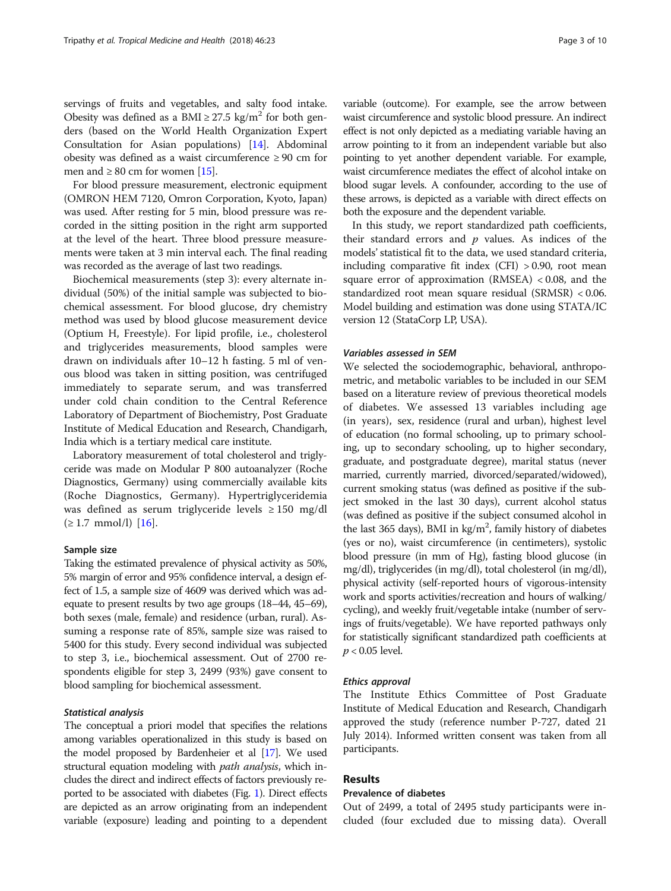servings of fruits and vegetables, and salty food intake. Obesity was defined as a BMI  $\geq$  27.5 kg/m<sup>2</sup> for both genders (based on the World Health Organization Expert Consultation for Asian populations) [[14\]](#page-8-0). Abdominal obesity was defined as a waist circumference ≥ 90 cm for men and  $\geq 80$  cm for women [\[15\]](#page-8-0).

For blood pressure measurement, electronic equipment (OMRON HEM 7120, Omron Corporation, Kyoto, Japan) was used. After resting for 5 min, blood pressure was recorded in the sitting position in the right arm supported at the level of the heart. Three blood pressure measurements were taken at 3 min interval each. The final reading was recorded as the average of last two readings.

Biochemical measurements (step 3): every alternate individual (50%) of the initial sample was subjected to biochemical assessment. For blood glucose, dry chemistry method was used by blood glucose measurement device (Optium H, Freestyle). For lipid profile, i.e., cholesterol and triglycerides measurements, blood samples were drawn on individuals after 10–12 h fasting. 5 ml of venous blood was taken in sitting position, was centrifuged immediately to separate serum, and was transferred under cold chain condition to the Central Reference Laboratory of Department of Biochemistry, Post Graduate Institute of Medical Education and Research, Chandigarh, India which is a tertiary medical care institute.

Laboratory measurement of total cholesterol and triglyceride was made on Modular P 800 autoanalyzer (Roche Diagnostics, Germany) using commercially available kits (Roche Diagnostics, Germany). Hypertriglyceridemia was defined as serum triglyceride levels ≥ 150 mg/dl  $(≥ 1.7 mmol/l)$  [[16\]](#page-8-0).

## Sample size

Taking the estimated prevalence of physical activity as 50%, 5% margin of error and 95% confidence interval, a design effect of 1.5, a sample size of 4609 was derived which was adequate to present results by two age groups (18–44, 45–69), both sexes (male, female) and residence (urban, rural). Assuming a response rate of 85%, sample size was raised to 5400 for this study. Every second individual was subjected to step 3, i.e., biochemical assessment. Out of 2700 respondents eligible for step 3, 2499 (93%) gave consent to blood sampling for biochemical assessment.

### Statistical analysis

The conceptual a priori model that specifies the relations among variables operationalized in this study is based on the model proposed by Bardenheier et al [\[17](#page-8-0)]. We used structural equation modeling with *path analysis*, which includes the direct and indirect effects of factors previously reported to be associated with diabetes (Fig. [1](#page-3-0)). Direct effects are depicted as an arrow originating from an independent variable (exposure) leading and pointing to a dependent variable (outcome). For example, see the arrow between waist circumference and systolic blood pressure. An indirect effect is not only depicted as a mediating variable having an arrow pointing to it from an independent variable but also pointing to yet another dependent variable. For example, waist circumference mediates the effect of alcohol intake on blood sugar levels. A confounder, according to the use of these arrows, is depicted as a variable with direct effects on both the exposure and the dependent variable.

In this study, we report standardized path coefficients, their standard errors and  $p$  values. As indices of the models' statistical fit to the data, we used standard criteria, including comparative fit index (CFI) > 0.90, root mean square error of approximation (RMSEA) < 0.08, and the standardized root mean square residual (SRMSR) < 0.06. Model building and estimation was done using STATA/IC version 12 (StataCorp LP, USA).

### Variables assessed in SEM

We selected the sociodemographic, behavioral, anthropometric, and metabolic variables to be included in our SEM based on a literature review of previous theoretical models of diabetes. We assessed 13 variables including age (in years), sex, residence (rural and urban), highest level of education (no formal schooling, up to primary schooling, up to secondary schooling, up to higher secondary, graduate, and postgraduate degree), marital status (never married, currently married, divorced/separated/widowed), current smoking status (was defined as positive if the subject smoked in the last 30 days), current alcohol status (was defined as positive if the subject consumed alcohol in the last 365 days), BMI in kg/m<sup>2</sup>, family history of diabetes (yes or no), waist circumference (in centimeters), systolic blood pressure (in mm of Hg), fasting blood glucose (in mg/dl), triglycerides (in mg/dl), total cholesterol (in mg/dl), physical activity (self-reported hours of vigorous-intensity work and sports activities/recreation and hours of walking/ cycling), and weekly fruit/vegetable intake (number of servings of fruits/vegetable). We have reported pathways only for statistically significant standardized path coefficients at  $p < 0.05$  level.

## Ethics approval

The Institute Ethics Committee of Post Graduate Institute of Medical Education and Research, Chandigarh approved the study (reference number P-727, dated 21 July 2014). Informed written consent was taken from all participants.

## Results

## Prevalence of diabetes

Out of 2499, a total of 2495 study participants were included (four excluded due to missing data). Overall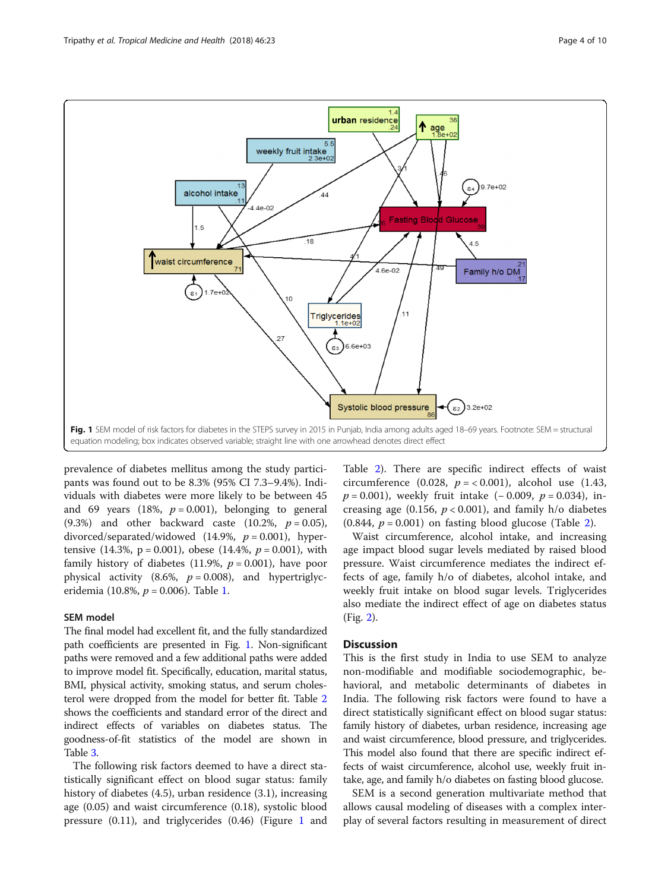<span id="page-3-0"></span>

prevalence of diabetes mellitus among the study participants was found out to be 8.3% (95% CI 7.3–9.4%). Individuals with diabetes were more likely to be between 45 and 69 years (18%,  $p = 0.001$ ), belonging to general (9.3%) and other backward caste (10.2%,  $p = 0.05$ ), divorced/separated/widowed (14.9%,  $p = 0.001$ ), hypertensive  $(14.3\%, p = 0.001)$ , obese  $(14.4\%, p = 0.001)$ , with family history of diabetes (11.9%,  $p = 0.001$ ), have poor physical activity (8.6%,  $p = 0.008$ ), and hypertriglyceridemia (10.8%,  $p = 0.006$ ). Table [1.](#page-4-0)

## SEM model

The final model had excellent fit, and the fully standardized path coefficients are presented in Fig. 1. Non-significant paths were removed and a few additional paths were added to improve model fit. Specifically, education, marital status, BMI, physical activity, smoking status, and serum cholesterol were dropped from the model for better fit. Table [2](#page-5-0) shows the coefficients and standard error of the direct and indirect effects of variables on diabetes status. The goodness-of-fit statistics of the model are shown in Table [3](#page-6-0).

The following risk factors deemed to have a direct statistically significant effect on blood sugar status: family history of diabetes (4.5), urban residence (3.1), increasing age (0.05) and waist circumference (0.18), systolic blood pressure (0.11), and triglycerides (0.46) (Figure 1 and

Table [2\)](#page-5-0). There are specific indirect effects of waist circumference (0.028,  $p = < 0.001$ ), alcohol use (1.43,  $p = 0.001$ ), weekly fruit intake (− 0.009,  $p = 0.034$ ), increasing age (0.156,  $p < 0.001$ ), and family h/o diabetes  $(0.844, p = 0.001)$  on fasting blood glucose (Table [2](#page-5-0)).

Waist circumference, alcohol intake, and increasing age impact blood sugar levels mediated by raised blood pressure. Waist circumference mediates the indirect effects of age, family h/o of diabetes, alcohol intake, and weekly fruit intake on blood sugar levels. Triglycerides also mediate the indirect effect of age on diabetes status (Fig. [2](#page-7-0)).

## **Discussion**

This is the first study in India to use SEM to analyze non-modifiable and modifiable sociodemographic, behavioral, and metabolic determinants of diabetes in India. The following risk factors were found to have a direct statistically significant effect on blood sugar status: family history of diabetes, urban residence, increasing age and waist circumference, blood pressure, and triglycerides. This model also found that there are specific indirect effects of waist circumference, alcohol use, weekly fruit intake, age, and family h/o diabetes on fasting blood glucose.

SEM is a second generation multivariate method that allows causal modeling of diseases with a complex interplay of several factors resulting in measurement of direct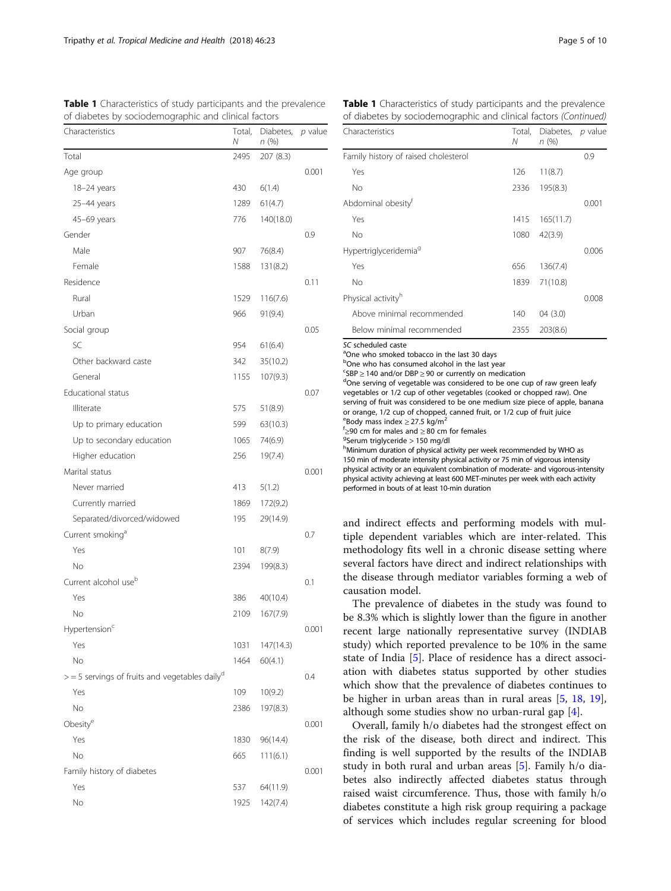| Characteristics                                              | Total,<br>Ν | Diabetes,<br>n (%) | p value |
|--------------------------------------------------------------|-------------|--------------------|---------|
| Total                                                        | 2495        | 207 (8.3)          |         |
| Age group                                                    |             |                    | 0.001   |
| 18-24 years                                                  | 430         | 6(1.4)             |         |
| 25-44 years                                                  | 1289        | 61(4.7)            |         |
| 45-69 years                                                  | 776         | 140(18.0)          |         |
| Gender                                                       |             |                    | 0.9     |
| Male                                                         | 907         | 76(8.4)            |         |
| Female                                                       | 1588        | 131(8.2)           |         |
| Residence                                                    |             |                    | 0.11    |
| Rural                                                        | 1529        | 116(7.6)           |         |
| Urban                                                        | 966         | 91(9.4)            |         |
| Social group                                                 |             |                    | 0.05    |
| SC                                                           | 954         | 61(6.4)            |         |
| Other backward caste                                         | 342         | 35(10.2)           |         |
| General                                                      | 1155        | 107(9.3)           |         |
| Educational status                                           |             |                    | 0.07    |
| Illiterate                                                   | 575         | 51(8.9)            |         |
| Up to primary education                                      | 599         | 63(10.3)           |         |
| Up to secondary education                                    | 1065        | 74(6.9)            |         |
| Higher education                                             | 256         | 19(7.4)            |         |
| Marital status                                               |             |                    | 0.001   |
| Never married                                                | 413         | 5(1.2)             |         |
| Currently married                                            | 1869        | 172(9.2)           |         |
| Separated/divorced/widowed                                   | 195         | 29(14.9)           |         |
| Current smoking <sup>a</sup>                                 |             |                    | 0.7     |
| Yes                                                          | 101         | 8(7.9)             |         |
| No                                                           | 2394        | 199(8.3)           |         |
| Current alcohol use <sup>b</sup>                             |             |                    | 0.1     |
| Yes                                                          | 386         | 40(10.4)           |         |
| No                                                           | 2109        | 167(7.9)           |         |
| Hypertension <sup>c</sup>                                    |             |                    | 0.001   |
| Yes                                                          | 1031        | 147(14.3)          |         |
| No                                                           | 1464        | 60(4.1)            |         |
| $>$ = 5 servings of fruits and vegetables daily <sup>d</sup> |             |                    | 0.4     |
| Yes                                                          | 109         | 10(9.2)            |         |
| No                                                           | 2386        | 197(8.3)           |         |
| Obesity <sup>e</sup>                                         |             |                    | 0.001   |
| Yes                                                          | 1830        | 96(14.4)           |         |
| No                                                           | 665         | 111(6.1)           |         |
| Family history of diabetes                                   |             |                    | 0.001   |
| Yes                                                          | 537         | 64(11.9)           |         |
| No                                                           | 1925        | 142(7.4)           |         |

<span id="page-4-0"></span>Table 1 Characteristics of study participants and the prevalence of diabetes by sociodemographic and clinical factors

| Characteristics                      | Total,<br>Ν | Diabetes, p value<br>n(%) |       |
|--------------------------------------|-------------|---------------------------|-------|
| Family history of raised cholesterol |             |                           | 0.9   |
| Yes                                  | 126         | 11(8.7)                   |       |
| No                                   | 2336        | 195(8.3)                  |       |
| Abdominal obesity <sup>†</sup>       |             |                           | 0.001 |
| Yes                                  | 1415        | 165(11.7)                 |       |
| No                                   | 1080        | 42(3.9)                   |       |
| Hypertriglyceridemia <sup>9</sup>    |             |                           | 0.006 |
| Yes                                  | 656         | 136(7.4)                  |       |
| No                                   | 1839        | 71(10.8)                  |       |
| Physical activity <sup>h</sup>       |             |                           | 0.008 |
| Above minimal recommended            | 140         | 04(3.0)                   |       |

Table 1 Characteristics of study participants and the prevalence of diabetes by sociodemographic and clinical factors (Continued)

SC scheduled caste

<sup>a</sup>One who smoked tobacco in the last 30 days

bOne who has consumed alcohol in the last year

<sup>c</sup>SBP ≥ 140 and/or DBP ≥ 90 or currently on medication<br><sup>d</sup>One serving of vegetable was considered to be one o <sup>d</sup>One serving of vegetable was considered to be one cup of raw green leafy vegetables or 1/2 cup of other vegetables (cooked or chopped raw). One serving of fruit was considered to be one medium size piece of apple, banana or orange, 1/2 cup of chopped, canned fruit, or 1/2 cup of fruit juice eBody mass index  $\geq$  27.5 kg/m<sup>2</sup>  $\frac{f}{2}$ 90 cm for males and  $\geq 80$  cm for females

Below minimal recommended 2355 203(8.6)

<sup>9</sup>Serum triglyceride  $> 150$  mg/dl

hMinimum duration of physical activity per week recommended by WHO as 150 min of moderate intensity physical activity or 75 min of vigorous intensity physical activity or an equivalent combination of moderate- and vigorous-intensity physical activity achieving at least 600 MET-minutes per week with each activity performed in bouts of at least 10-min duration

and indirect effects and performing models with multiple dependent variables which are inter-related. This methodology fits well in a chronic disease setting where several factors have direct and indirect relationships with the disease through mediator variables forming a web of causation model.

The prevalence of diabetes in the study was found to be 8.3% which is slightly lower than the figure in another recent large nationally representative survey (INDIAB study) which reported prevalence to be 10% in the same state of India [\[5](#page-8-0)]. Place of residence has a direct association with diabetes status supported by other studies which show that the prevalence of diabetes continues to be higher in urban areas than in rural areas [[5,](#page-8-0) [18](#page-8-0), [19](#page-8-0)], although some studies show no urban-rural gap [\[4](#page-8-0)].

Overall, family h/o diabetes had the strongest effect on the risk of the disease, both direct and indirect. This finding is well supported by the results of the INDIAB study in both rural and urban areas [[5\]](#page-8-0). Family h/o diabetes also indirectly affected diabetes status through raised waist circumference. Thus, those with family h/o diabetes constitute a high risk group requiring a package of services which includes regular screening for blood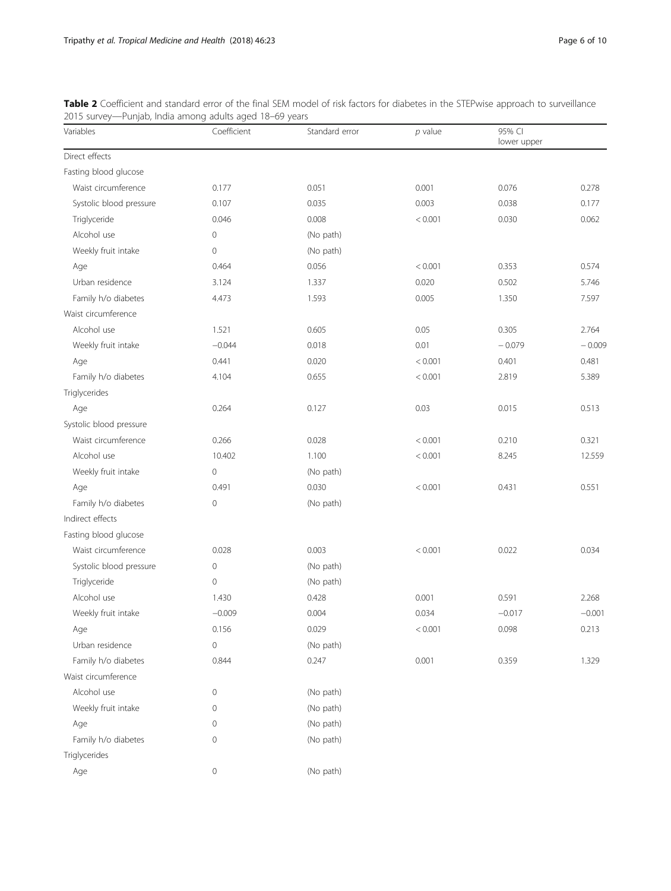| Variables               | $-9 - -$<br>Coefficient | . .<br>Standard error | $p$ value | 95% CI<br>lower upper |          |
|-------------------------|-------------------------|-----------------------|-----------|-----------------------|----------|
| Direct effects          |                         |                       |           |                       |          |
| Fasting blood glucose   |                         |                       |           |                       |          |
| Waist circumference     | 0.177                   | 0.051                 | 0.001     | 0.076                 | 0.278    |
| Systolic blood pressure | 0.107                   | 0.035                 | 0.003     | 0.038                 | 0.177    |
| Triglyceride            | 0.046                   | 0.008                 | < 0.001   | 0.030                 | 0.062    |
| Alcohol use             | $\mathbf 0$             | (No path)             |           |                       |          |
| Weekly fruit intake     | $\mathbf 0$             | (No path)             |           |                       |          |
| Age                     | 0.464                   | 0.056                 | < 0.001   | 0.353                 | 0.574    |
| Urban residence         | 3.124                   | 1.337                 | 0.020     | 0.502                 | 5.746    |
| Family h/o diabetes     | 4.473                   | 1.593                 | 0.005     | 1.350                 | 7.597    |
| Waist circumference     |                         |                       |           |                       |          |
| Alcohol use             | 1.521                   | 0.605                 | 0.05      | 0.305                 | 2.764    |
| Weekly fruit intake     | $-0.044$                | 0.018                 | 0.01      | $-0.079$              | $-0.009$ |
| Age                     | 0.441                   | 0.020                 | < 0.001   | 0.401                 | 0.481    |
| Family h/o diabetes     | 4.104                   | 0.655                 | < 0.001   | 2.819                 | 5.389    |
| Triglycerides           |                         |                       |           |                       |          |
| Age                     | 0.264                   | 0.127                 | 0.03      | 0.015                 | 0.513    |
| Systolic blood pressure |                         |                       |           |                       |          |
| Waist circumference     | 0.266                   | 0.028                 | < 0.001   | 0.210                 | 0.321    |
| Alcohol use             | 10.402                  | 1.100                 | < 0.001   | 8.245                 | 12.559   |
| Weekly fruit intake     | 0                       | (No path)             |           |                       |          |
| Age                     | 0.491                   | 0.030                 | < 0.001   | 0.431                 | 0.551    |
| Family h/o diabetes     | $\mathbf 0$             | (No path)             |           |                       |          |
| Indirect effects        |                         |                       |           |                       |          |
| Fasting blood glucose   |                         |                       |           |                       |          |
| Waist circumference     | 0.028                   | 0.003                 | < 0.001   | 0.022                 | 0.034    |
| Systolic blood pressure | 0                       | (No path)             |           |                       |          |
| Triglyceride            | $\mathbf 0$             | (No path)             |           |                       |          |
| Alcohol use             | 1.430                   | 0.428                 | 0.001     | 0.591                 | 2.268    |
| Weekly fruit intake     | $-0.009$                | 0.004                 | 0.034     | $-0.017$              | $-0.001$ |
| Age                     | 0.156                   | 0.029                 | < 0.001   | 0.098                 | 0.213    |
| Urban residence         | $\mathbf 0$             | (No path)             |           |                       |          |
| Family h/o diabetes     | 0.844                   | 0.247                 | 0.001     | 0.359                 | 1.329    |
| Waist circumference     |                         |                       |           |                       |          |
| Alcohol use             | 0                       | (No path)             |           |                       |          |
| Weekly fruit intake     | 0                       | (No path)             |           |                       |          |
| Age                     | 0                       | (No path)             |           |                       |          |
| Family h/o diabetes     | 0                       | (No path)             |           |                       |          |
| Triglycerides           |                         |                       |           |                       |          |
| Age                     | 0                       | (No path)             |           |                       |          |

<span id="page-5-0"></span>Table 2 Coefficient and standard error of the final SEM model of risk factors for diabetes in the STEPwise approach to surveillance 2015 survey—Punjab, India among adults aged 18–69 years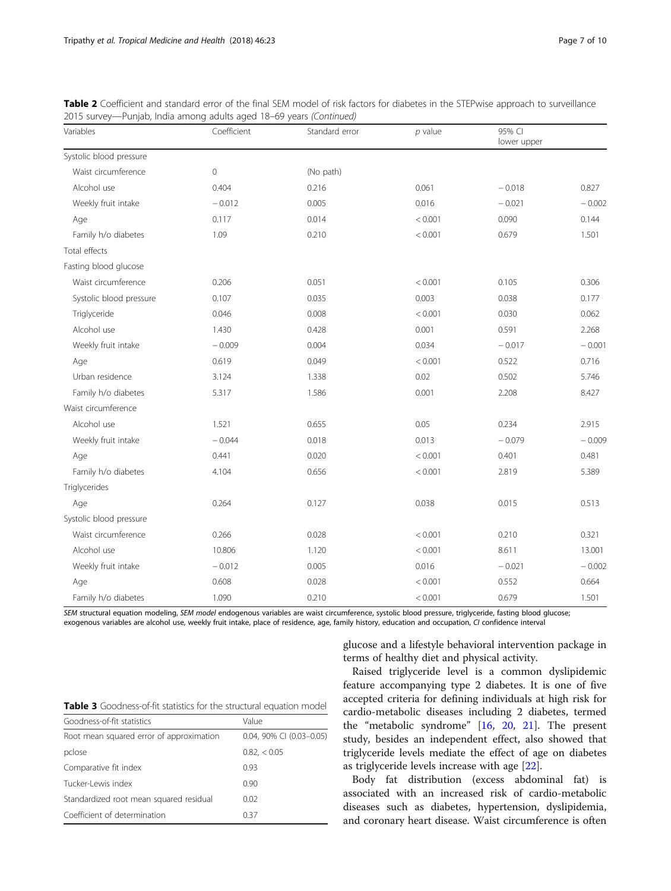| Variables               | Coefficient | Standard error | $p$ value | 95% CI<br>lower upper |          |
|-------------------------|-------------|----------------|-----------|-----------------------|----------|
| Systolic blood pressure |             |                |           |                       |          |
| Waist circumference     | $\mathbf 0$ | (No path)      |           |                       |          |
| Alcohol use             | 0.404       | 0.216          | 0.061     | $-0.018$              | 0.827    |
| Weekly fruit intake     | $-0.012$    | 0.005          | 0.016     | $-0.021$              | $-0.002$ |
| Age                     | 0.117       | 0.014          | < 0.001   | 0.090                 | 0.144    |
| Family h/o diabetes     | 1.09        | 0.210          | < 0.001   | 0.679                 | 1.501    |
| Total effects           |             |                |           |                       |          |
| Fasting blood glucose   |             |                |           |                       |          |
| Waist circumference     | 0.206       | 0.051          | < 0.001   | 0.105                 | 0.306    |
| Systolic blood pressure | 0.107       | 0.035          | 0.003     | 0.038                 | 0.177    |
| Triglyceride            | 0.046       | 0.008          | < 0.001   | 0.030                 | 0.062    |
| Alcohol use             | 1.430       | 0.428          | 0.001     | 0.591                 | 2.268    |
| Weekly fruit intake     | $-0.009$    | 0.004          | 0.034     | $-0.017$              | $-0.001$ |
| Age                     | 0.619       | 0.049          | < 0.001   | 0.522                 | 0.716    |
| Urban residence         | 3.124       | 1.338          | 0.02      | 0.502                 | 5.746    |
| Family h/o diabetes     | 5.317       | 1.586          | 0.001     | 2.208                 | 8.427    |
| Waist circumference     |             |                |           |                       |          |
| Alcohol use             | 1.521       | 0.655          | 0.05      | 0.234                 | 2.915    |
| Weekly fruit intake     | $-0.044$    | 0.018          | 0.013     | $-0.079$              | $-0.009$ |
| Age                     | 0.441       | 0.020          | < 0.001   | 0.401                 | 0.481    |
| Family h/o diabetes     | 4.104       | 0.656          | < 0.001   | 2.819                 | 5.389    |
| Triglycerides           |             |                |           |                       |          |
| Age                     | 0.264       | 0.127          | 0.038     | 0.015                 | 0.513    |
| Systolic blood pressure |             |                |           |                       |          |
| Waist circumference     | 0.266       | 0.028          | < 0.001   | 0.210                 | 0.321    |
| Alcohol use             | 10.806      | 1.120          | < 0.001   | 8.611                 | 13.001   |
| Weekly fruit intake     | $-0.012$    | 0.005          | 0.016     | $-0.021$              | $-0.002$ |
| Age                     | 0.608       | 0.028          | < 0.001   | 0.552                 | 0.664    |
| Family h/o diabetes     | 1.090       | 0.210          | < 0.001   | 0.679                 | 1.501    |

<span id="page-6-0"></span>Table 2 Coefficient and standard error of the final SEM model of risk factors for diabetes in the STEPwise approach to surveillance 2015 survey—Punjab, India among adults aged 18–69 years (Continued)

SEM structural equation modeling, SEM model endogenous variables are waist circumference, systolic blood pressure, triglyceride, fasting blood glucose; exogenous variables are alcohol use, weekly fruit intake, place of residence, age, family history, education and occupation, CI confidence interval

> glucose and a lifestyle behavioral intervention package in terms of healthy diet and physical activity.

| Table 3 Goodness-of-fit statistics for the structural equation model |  |
|----------------------------------------------------------------------|--|
|----------------------------------------------------------------------|--|

| Goodness-of-fit statistics               | Value                    |  |  |
|------------------------------------------|--------------------------|--|--|
| Root mean squared error of approximation | 0.04, 90% CI (0.03-0.05) |  |  |
| pclose                                   | 0.82<0.05                |  |  |
| Comparative fit index                    | 0.93                     |  |  |
| Tucker-Lewis index                       | 0.90                     |  |  |
| Standardized root mean squared residual  | 0.02                     |  |  |
| Coefficient of determination             | 0.37                     |  |  |

Raised triglyceride level is a common dyslipidemic feature accompanying type 2 diabetes. It is one of five accepted criteria for defining individuals at high risk for cardio-metabolic diseases including 2 diabetes, termed the "metabolic syndrome" [\[16](#page-8-0), [20,](#page-8-0) [21](#page-9-0)]. The present study, besides an independent effect, also showed that triglyceride levels mediate the effect of age on diabetes as triglyceride levels increase with age [\[22](#page-9-0)].

Body fat distribution (excess abdominal fat) is associated with an increased risk of cardio-metabolic diseases such as diabetes, hypertension, dyslipidemia, and coronary heart disease. Waist circumference is often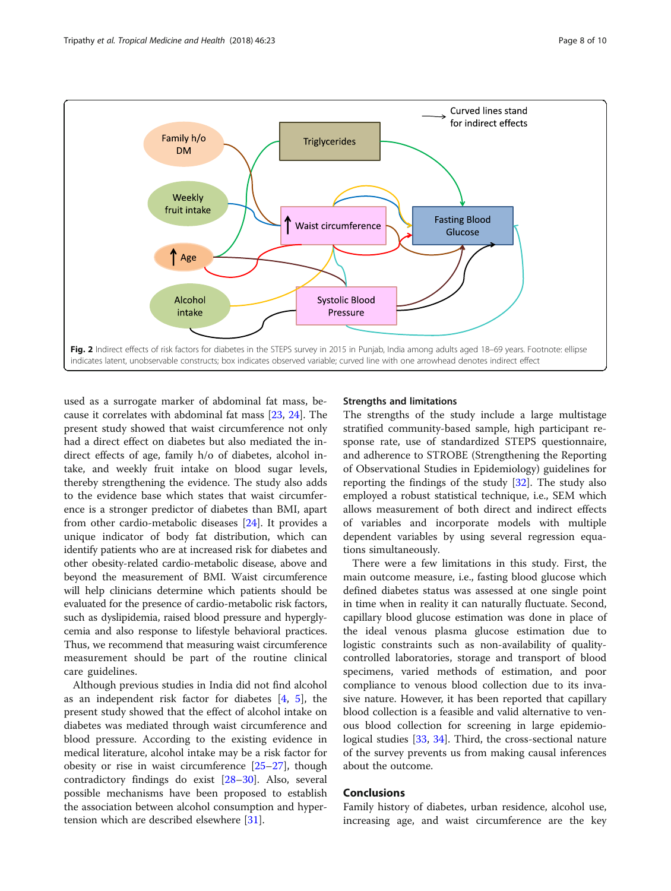<span id="page-7-0"></span>

used as a surrogate marker of abdominal fat mass, because it correlates with abdominal fat mass [[23,](#page-9-0) [24\]](#page-9-0). The present study showed that waist circumference not only had a direct effect on diabetes but also mediated the indirect effects of age, family h/o of diabetes, alcohol intake, and weekly fruit intake on blood sugar levels, thereby strengthening the evidence. The study also adds to the evidence base which states that waist circumference is a stronger predictor of diabetes than BMI, apart from other cardio-metabolic diseases [\[24](#page-9-0)]. It provides a unique indicator of body fat distribution, which can identify patients who are at increased risk for diabetes and other obesity-related cardio-metabolic disease, above and beyond the measurement of BMI. Waist circumference will help clinicians determine which patients should be evaluated for the presence of cardio-metabolic risk factors, such as dyslipidemia, raised blood pressure and hyperglycemia and also response to lifestyle behavioral practices. Thus, we recommend that measuring waist circumference measurement should be part of the routine clinical care guidelines.

Although previous studies in India did not find alcohol as an independent risk factor for diabetes [[4,](#page-8-0) [5\]](#page-8-0), the present study showed that the effect of alcohol intake on diabetes was mediated through waist circumference and blood pressure. According to the existing evidence in medical literature, alcohol intake may be a risk factor for obesity or rise in waist circumference [\[25](#page-9-0)–[27\]](#page-9-0), though contradictory findings do exist [[28](#page-9-0)–[30](#page-9-0)]. Also, several possible mechanisms have been proposed to establish the association between alcohol consumption and hypertension which are described elsewhere [[31\]](#page-9-0).

## Strengths and limitations

The strengths of the study include a large multistage stratified community-based sample, high participant response rate, use of standardized STEPS questionnaire, and adherence to STROBE (Strengthening the Reporting of Observational Studies in Epidemiology) guidelines for reporting the findings of the study [[32](#page-9-0)]. The study also employed a robust statistical technique, i.e., SEM which allows measurement of both direct and indirect effects of variables and incorporate models with multiple dependent variables by using several regression equations simultaneously.

There were a few limitations in this study. First, the main outcome measure, i.e., fasting blood glucose which defined diabetes status was assessed at one single point in time when in reality it can naturally fluctuate. Second, capillary blood glucose estimation was done in place of the ideal venous plasma glucose estimation due to logistic constraints such as non-availability of qualitycontrolled laboratories, storage and transport of blood specimens, varied methods of estimation, and poor compliance to venous blood collection due to its invasive nature. However, it has been reported that capillary blood collection is a feasible and valid alternative to venous blood collection for screening in large epidemiological studies [\[33](#page-9-0), [34](#page-9-0)]. Third, the cross-sectional nature of the survey prevents us from making causal inferences about the outcome.

## Conclusions

Family history of diabetes, urban residence, alcohol use, increasing age, and waist circumference are the key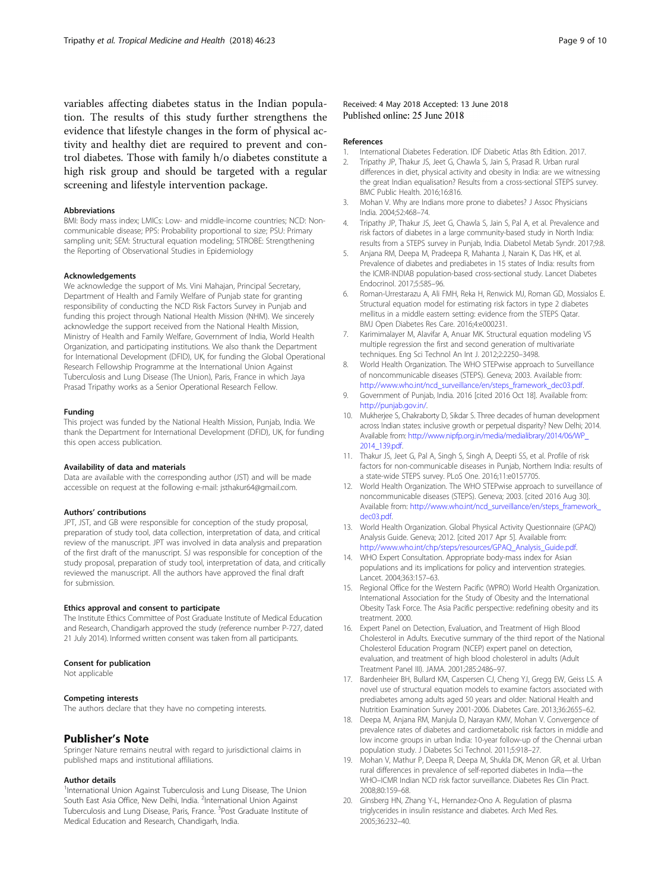<span id="page-8-0"></span>variables affecting diabetes status in the Indian population. The results of this study further strengthens the evidence that lifestyle changes in the form of physical activity and healthy diet are required to prevent and control diabetes. Those with family h/o diabetes constitute a high risk group and should be targeted with a regular screening and lifestyle intervention package.

#### Abbreviations

BMI: Body mass index; LMICs: Low- and middle-income countries; NCD: Noncommunicable disease; PPS: Probability proportional to size; PSU: Primary sampling unit; SEM: Structural equation modeling; STROBE: Strengthening the Reporting of Observational Studies in Epidemiology

## Acknowledgements

We acknowledge the support of Ms. Vini Mahajan, Principal Secretary, Department of Health and Family Welfare of Punjab state for granting responsibility of conducting the NCD Risk Factors Survey in Punjab and funding this project through National Health Mission (NHM). We sincerely acknowledge the support received from the National Health Mission, Ministry of Health and Family Welfare, Government of India, World Health Organization, and participating institutions. We also thank the Department for International Development (DFID), UK, for funding the Global Operational Research Fellowship Programme at the International Union Against Tuberculosis and Lung Disease (The Union), Paris, France in which Jaya Prasad Tripathy works as a Senior Operational Research Fellow.

#### Funding

This project was funded by the National Health Mission, Punjab, India. We thank the Department for International Development (DFID), UK, for funding this open access publication.

#### Availability of data and materials

Data are available with the corresponding author (JST) and will be made accessible on request at the following e-mail: jsthakur64@gmail.com.

#### Authors' contributions

JPT, JST, and GB were responsible for conception of the study proposal, preparation of study tool, data collection, interpretation of data, and critical review of the manuscript. JPT was involved in data analysis and preparation of the first draft of the manuscript. SJ was responsible for conception of the study proposal, preparation of study tool, interpretation of data, and critically reviewed the manuscript. All the authors have approved the final draft for submission.

#### Ethics approval and consent to participate

The Institute Ethics Committee of Post Graduate Institute of Medical Education and Research, Chandigarh approved the study (reference number P-727, dated 21 July 2014). Informed written consent was taken from all participants.

## Consent for publication

Not applicable

#### Competing interests

The authors declare that they have no competing interests.

## Publisher's Note

Springer Nature remains neutral with regard to jurisdictional claims in published maps and institutional affiliations.

#### Author details

<sup>1</sup>International Union Against Tuberculosis and Lung Disease, The Union South East Asia Office, New Delhi, India. <sup>2</sup>International Union Against Tuberculosis and Lung Disease, Paris, France. <sup>3</sup>Post Graduate Institute of Medical Education and Research, Chandigarh, India.

## Received: 4 May 2018 Accepted: 13 June 2018 Published online: 25 June 2018

#### References

- 1. International Diabetes Federation. IDF Diabetic Atlas 8th Edition. 2017.
- 2. Tripathy JP, Thakur JS, Jeet G, Chawla S, Jain S, Prasad R. Urban rural differences in diet, physical activity and obesity in India: are we witnessing the great Indian equalisation? Results from a cross-sectional STEPS survey. BMC Public Health. 2016;16:816.
- 3. Mohan V. Why are Indians more prone to diabetes? J Assoc Physicians India. 2004;52:468–74.
- 4. Tripathy JP, Thakur JS, Jeet G, Chawla S, Jain S, Pal A, et al. Prevalence and risk factors of diabetes in a large community-based study in North India: results from a STEPS survey in Punjab, India. Diabetol Metab Syndr. 2017;9:8.
- 5. Anjana RM, Deepa M, Pradeepa R, Mahanta J, Narain K, Das HK, et al. Prevalence of diabetes and prediabetes in 15 states of India: results from the ICMR-INDIAB population-based cross-sectional study. Lancet Diabetes Endocrinol. 2017;5:585–96.
- 6. Roman-Urrestarazu A, Ali FMH, Reka H, Renwick MJ, Roman GD, Mossialos E. Structural equation model for estimating risk factors in type 2 diabetes mellitus in a middle eastern setting: evidence from the STEPS Qatar. BMJ Open Diabetes Res Care. 2016;4:e000231.
- 7. Karimimalayer M, Alavifar A, Anuar MK. Structural equation modeling VS multiple regression the first and second generation of multivariate techniques. Eng Sci Technol An Int J. 2012;2:2250–3498.
- 8. World Health Organization. The WHO STEPwise approach to Surveillance of noncommunicable diseases (STEPS). Geneva; 2003. Available from: [http://www.who.int/ncd\\_surveillance/en/steps\\_framework\\_dec03.pdf](http://www.who.int/ncd_surveillance/en/steps_framework_dec03.pdf).
- 9. Government of Punjab, India. 2016 [cited 2016 Oct 18]. Available from: [http://punjab.gov.in/.](http://punjab.gov.in/)
- 10. Mukherjee S, Chakraborty D, Sikdar S. Three decades of human development across Indian states: inclusive growth or perpetual disparity? New Delhi; 2014. Available from: [http://www.nipfp.org.in/media/medialibrary/2014/06/WP\\_](http://www.nipfp.org.in/media/medialibrary/2014/06/WP_2014_139.pdf) [2014\\_139.pdf.](http://www.nipfp.org.in/media/medialibrary/2014/06/WP_2014_139.pdf)
- 11. Thakur JS, Jeet G, Pal A, Singh S, Singh A, Deepti SS, et al. Profile of risk factors for non-communicable diseases in Punjab, Northern India: results of a state-wide STEPS survey. PLoS One. 2016;11:e0157705.
- 12. World Health Organization. The WHO STEPwise approach to surveillance of noncommunicable diseases (STEPS). Geneva; 2003. [cited 2016 Aug 30]. Available from: [http://www.who.int/ncd\\_surveillance/en/steps\\_framework\\_](http://www.who.int/ncd_surveillance/en/steps_framework_dec03.pdf) [dec03.pdf.](http://www.who.int/ncd_surveillance/en/steps_framework_dec03.pdf)
- 13. World Health Organization. Global Physical Activity Questionnaire (GPAQ) Analysis Guide. Geneva; 2012. [cited 2017 Apr 5]. Available from: [http://www.who.int/chp/steps/resources/GPAQ\\_Analysis\\_Guide.pdf](http://www.who.int/chp/steps/resources/GPAQ_Analysis_Guide.pdf).
- 14. WHO Expert Consultation. Appropriate body-mass index for Asian populations and its implications for policy and intervention strategies. Lancet. 2004;363:157–63.
- 15. Regional Office for the Western Pacific (WPRO) World Health Organization. International Association for the Study of Obesity and the International Obesity Task Force. The Asia Pacific perspective: redefining obesity and its treatment. 2000.
- 16. Expert Panel on Detection, Evaluation, and Treatment of High Blood Cholesterol in Adults. Executive summary of the third report of the National Cholesterol Education Program (NCEP) expert panel on detection, evaluation, and treatment of high blood cholesterol in adults (Adult Treatment Panel III). JAMA. 2001;285:2486–97.
- 17. Bardenheier BH, Bullard KM, Caspersen CJ, Cheng YJ, Gregg EW, Geiss LS. A novel use of structural equation models to examine factors associated with prediabetes among adults aged 50 years and older: National Health and Nutrition Examination Survey 2001-2006. Diabetes Care. 2013;36:2655–62.
- 18. Deepa M, Anjana RM, Manjula D, Narayan KMV, Mohan V. Convergence of prevalence rates of diabetes and cardiometabolic risk factors in middle and low income groups in urban India: 10-year follow-up of the Chennai urban population study. J Diabetes Sci Technol. 2011;5:918–27.
- 19. Mohan V, Mathur P, Deepa R, Deepa M, Shukla DK, Menon GR, et al. Urban rural differences in prevalence of self-reported diabetes in India—the WHO–ICMR Indian NCD risk factor surveillance. Diabetes Res Clin Pract. 2008;80:159–68.
- 20. Ginsberg HN, Zhang Y-L, Hernandez-Ono A. Regulation of plasma triglycerides in insulin resistance and diabetes. Arch Med Res. 2005;36:232–40.